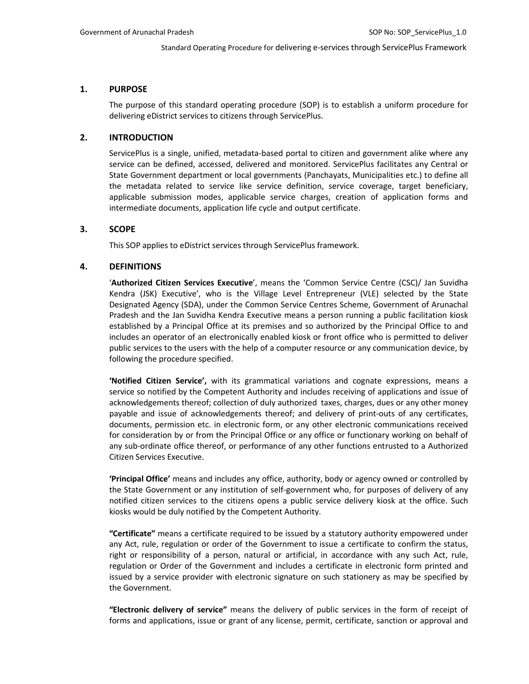### **1. PURPOSE**

The purpose of this standard operating procedure (SOP) is to establish a uniform procedure for delivering eDistrict services to citizens through ServicePlus.

### **2. INTRODUCTION**

ServicePlus is a single, unified, metadata-based portal to citizen and government alike where any service can be defined, accessed, delivered and monitored. ServicePlus facilitates any Central or State Government department or local governments (Panchayats, Municipalities etc.) to define all the metadata related to service like service definition, service coverage, target beneficiary, applicable submission modes, applicable service charges, creation of application forms and intermediate documents, application life cycle and output certificate.

### **3. SCOPE**

This SOP applies to eDistrict services through ServicePlus framework.

### **4. DEFINITIONS**

'**Authorized Citizen Services Executive**', means the 'Common Service Centre (CSC)/ Jan Suvidha Kendra (JSK) Executive', who is the Village Level Entrepreneur (VLE) selected by the State Designated Agency (SDA), under the Common Service Centres Scheme, Government of Arunachal Pradesh and the Jan Suvidha Kendra Executive means a person running a public facilitation kiosk established by a Principal Office at its premises and so authorized by the Principal Office to and includes an operator of an electronically enabled kiosk or front office who is permitted to deliver public services to the users with the help of a computer resource or any communication device, by following the procedure specified.

**'Notified Citizen Service',** with its grammatical variations and cognate expressions, means a service so notified by the Competent Authority and includes receiving of applications and issue of acknowledgements thereof; collection of duly authorized taxes, charges, dues or any other money payable and issue of acknowledgements thereof; and delivery of print-outs of any certificates, documents, permission etc. in electronic form, or any other electronic communications received for consideration by or from the Principal Office or any office or functionary working on behalf of any sub-ordinate office thereof, or performance of any other functions entrusted to a Authorized Citizen Services Executive.

**'Principal Office'** means and includes any office, authority, body or agency owned or controlled by the State Government or any institution of self-government who, for purposes of delivery of any notified citizen services to the citizens opens a public service delivery kiosk at the office. Such kiosks would be duly notified by the Competent Authority.

**"Certificate"** means a certificate required to be issued by a statutory authority empowered under any Act, rule, regulation or order of the Government to issue a certificate to confirm the status, right or responsibility of a person, natural or artificial, in accordance with any such Act, rule, regulation or Order of the Government and includes a certificate in electronic form printed and issued by a service provider with electronic signature on such stationery as may be specified by the Government.

**"Electronic delivery of service"** means the delivery of public services in the form of receipt of forms and applications, issue or grant of any license, permit, certificate, sanction or approval and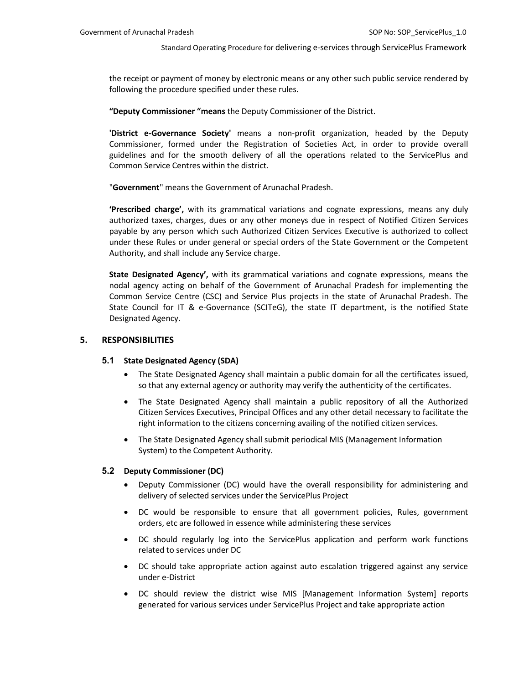the receipt or payment of money by electronic means or any other such public service rendered by following the procedure specified under these rules.

**"Deputy Commissioner "means** the Deputy Commissioner of the District.

**'District e-Governance Society'** means a non-profit organization, headed by the Deputy Commissioner, formed under the Registration of Societies Act, in order to provide overall guidelines and for the smooth delivery of all the operations related to the ServicePlus and Common Service Centres within the district.

"**Government**" means the Government of Arunachal Pradesh.

**'Prescribed charge',** with its grammatical variations and cognate expressions, means any duly authorized taxes, charges, dues or any other moneys due in respect of Notified Citizen Services payable by any person which such Authorized Citizen Services Executive is authorized to collect under these Rules or under general or special orders of the State Government or the Competent Authority, and shall include any Service charge.

**State Designated Agency',** with its grammatical variations and cognate expressions, means the nodal agency acting on behalf of the Government of Arunachal Pradesh for implementing the Common Service Centre (CSC) and Service Plus projects in the state of Arunachal Pradesh. The State Council for IT & e-Governance (SCITeG), the state IT department, is the notified State Designated Agency.

### **5. RESPONSIBILITIES**

### **5.1 State Designated Agency (SDA)**

- The State Designated Agency shall maintain a public domain for all the certificates issued, so that any external agency or authority may verify the authenticity of the certificates.
- The State Designated Agency shall maintain a public repository of all the Authorized Citizen Services Executives, Principal Offices and any other detail necessary to facilitate the right information to the citizens concerning availing of the notified citizen services.
- The State Designated Agency shall submit periodical MIS (Management Information System) to the Competent Authority.

### **5.2 Deputy Commissioner (DC)**

- Deputy Commissioner (DC) would have the overall responsibility for administering and delivery of selected services under the ServicePlus Project
- DC would be responsible to ensure that all government policies, Rules, government orders, etc are followed in essence while administering these services
- DC should regularly log into the ServicePlus application and perform work functions related to services under DC
- DC should take appropriate action against auto escalation triggered against any service under e-District
- DC should review the district wise MIS [Management Information System] reports generated for various services under ServicePlus Project and take appropriate action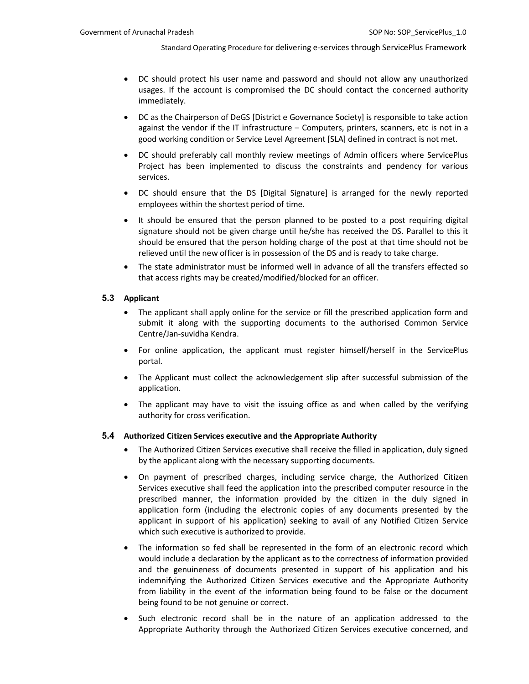- DC should protect his user name and password and should not allow any unauthorized usages. If the account is compromised the DC should contact the concerned authority immediately.
- DC as the Chairperson of DeGS [District e Governance Society] is responsible to take action against the vendor if the IT infrastructure – Computers, printers, scanners, etc is not in a good working condition or Service Level Agreement [SLA] defined in contract is not met.
- DC should preferably call monthly review meetings of Admin officers where ServicePlus Project has been implemented to discuss the constraints and pendency for various services.
- DC should ensure that the DS [Digital Signature] is arranged for the newly reported employees within the shortest period of time.
- It should be ensured that the person planned to be posted to a post requiring digital signature should not be given charge until he/she has received the DS. Parallel to this it should be ensured that the person holding charge of the post at that time should not be relieved until the new officer is in possession of the DS and is ready to take charge.
- The state administrator must be informed well in advance of all the transfers effected so that access rights may be created/modified/blocked for an officer.

### **5.3 Applicant**

- The applicant shall apply online for the service or fill the prescribed application form and submit it along with the supporting documents to the authorised Common Service Centre/Jan-suvidha Kendra.
- For online application, the applicant must register himself/herself in the ServicePlus portal.
- The Applicant must collect the acknowledgement slip after successful submission of the application.
- The applicant may have to visit the issuing office as and when called by the verifying authority for cross verification.

### **5.4 Authorized Citizen Services executive and the Appropriate Authority**

- The Authorized Citizen Services executive shall receive the filled in application, duly signed by the applicant along with the necessary supporting documents.
- On payment of prescribed charges, including service charge, the Authorized Citizen Services executive shall feed the application into the prescribed computer resource in the prescribed manner, the information provided by the citizen in the duly signed in application form (including the electronic copies of any documents presented by the applicant in support of his application) seeking to avail of any Notified Citizen Service which such executive is authorized to provide.
- The information so fed shall be represented in the form of an electronic record which would include a declaration by the applicant as to the correctness of information provided and the genuineness of documents presented in support of his application and his indemnifying the Authorized Citizen Services executive and the Appropriate Authority from liability in the event of the information being found to be false or the document being found to be not genuine or correct.
- Such electronic record shall be in the nature of an application addressed to the Appropriate Authority through the Authorized Citizen Services executive concerned, and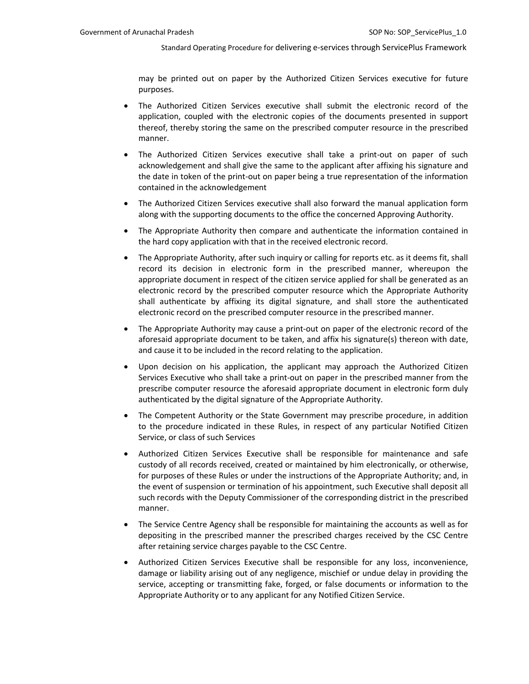may be printed out on paper by the Authorized Citizen Services executive for future purposes.

- The Authorized Citizen Services executive shall submit the electronic record of the application, coupled with the electronic copies of the documents presented in support thereof, thereby storing the same on the prescribed computer resource in the prescribed manner.
- The Authorized Citizen Services executive shall take a print-out on paper of such acknowledgement and shall give the same to the applicant after affixing his signature and the date in token of the print-out on paper being a true representation of the information contained in the acknowledgement
- The Authorized Citizen Services executive shall also forward the manual application form along with the supporting documents to the office the concerned Approving Authority.
- The Appropriate Authority then compare and authenticate the information contained in the hard copy application with that in the received electronic record.
- The Appropriate Authority, after such inquiry or calling for reports etc. as it deems fit, shall record its decision in electronic form in the prescribed manner, whereupon the appropriate document in respect of the citizen service applied for shall be generated as an electronic record by the prescribed computer resource which the Appropriate Authority shall authenticate by affixing its digital signature, and shall store the authenticated electronic record on the prescribed computer resource in the prescribed manner.
- The Appropriate Authority may cause a print-out on paper of the electronic record of the aforesaid appropriate document to be taken, and affix his signature(s) thereon with date, and cause it to be included in the record relating to the application.
- Upon decision on his application, the applicant may approach the Authorized Citizen Services Executive who shall take a print-out on paper in the prescribed manner from the prescribe computer resource the aforesaid appropriate document in electronic form duly authenticated by the digital signature of the Appropriate Authority.
- The Competent Authority or the State Government may prescribe procedure, in addition to the procedure indicated in these Rules, in respect of any particular Notified Citizen Service, or class of such Services
- Authorized Citizen Services Executive shall be responsible for maintenance and safe custody of all records received, created or maintained by him electronically, or otherwise, for purposes of these Rules or under the instructions of the Appropriate Authority; and, in the event of suspension or termination of his appointment, such Executive shall deposit all such records with the Deputy Commissioner of the corresponding district in the prescribed manner.
- The Service Centre Agency shall be responsible for maintaining the accounts as well as for depositing in the prescribed manner the prescribed charges received by the CSC Centre after retaining service charges payable to the CSC Centre.
- Authorized Citizen Services Executive shall be responsible for any loss, inconvenience, damage or liability arising out of any negligence, mischief or undue delay in providing the service, accepting or transmitting fake, forged, or false documents or information to the Appropriate Authority or to any applicant for any Notified Citizen Service.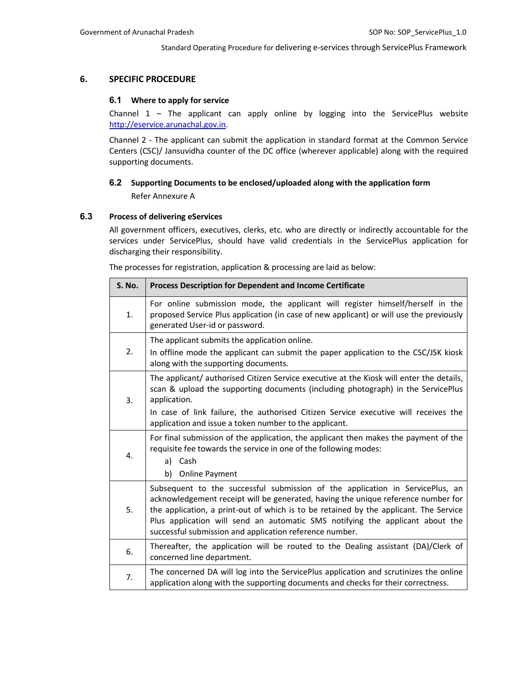### **6. SPECIFIC PROCEDURE**

### **6.1 Where to apply for service**

Channel  $1$  – The applicant can apply online by logging into the ServicePlus website http://eservice.arunachal.gov.in.

Channel 2 - The applicant can submit the application in standard format at the Common Service Centers (CSC)/ Jansuvidha counter of the DC office (wherever applicable) along with the required supporting documents.

## **6.2 Supporting Documents to be enclosed/uploaded along with the application form** Refer Annexure A

### **6.3 Process of delivering eServices**

All government officers, executives, clerks, etc. who are directly or indirectly accountable for the services under ServicePlus, should have valid credentials in the ServicePlus application for discharging their responsibility.

The processes for registration, application & processing are laid as below:

| <b>S. No.</b> | Process Description for Dependent and Income Certificate                                                                                                                                                                                                                                                                                                                                                |  |
|---------------|---------------------------------------------------------------------------------------------------------------------------------------------------------------------------------------------------------------------------------------------------------------------------------------------------------------------------------------------------------------------------------------------------------|--|
| 1.            | For online submission mode, the applicant will register himself/herself in the<br>proposed Service Plus application (in case of new applicant) or will use the previously<br>generated User-id or password.                                                                                                                                                                                             |  |
| 2.            | The applicant submits the application online.<br>In offline mode the applicant can submit the paper application to the CSC/JSK kiosk<br>along with the supporting documents.                                                                                                                                                                                                                            |  |
| 3.            | The applicant/ authorised Citizen Service executive at the Kiosk will enter the details,<br>scan & upload the supporting documents (including photograph) in the ServicePlus<br>application.<br>In case of link failure, the authorised Citizen Service executive will receives the<br>application and issue a token number to the applicant.                                                           |  |
| 4.            | For final submission of the application, the applicant then makes the payment of the<br>requisite fee towards the service in one of the following modes:<br>a) Cash<br>b)<br><b>Online Payment</b>                                                                                                                                                                                                      |  |
| 5.            | Subsequent to the successful submission of the application in ServicePlus, an<br>acknowledgement receipt will be generated, having the unique reference number for<br>the application, a print-out of which is to be retained by the applicant. The Service<br>Plus application will send an automatic SMS notifying the applicant about the<br>successful submission and application reference number. |  |
| 6.            | Thereafter, the application will be routed to the Dealing assistant (DA)/Clerk of<br>concerned line department.                                                                                                                                                                                                                                                                                         |  |
| 7.            | The concerned DA will log into the ServicePlus application and scrutinizes the online<br>application along with the supporting documents and checks for their correctness.                                                                                                                                                                                                                              |  |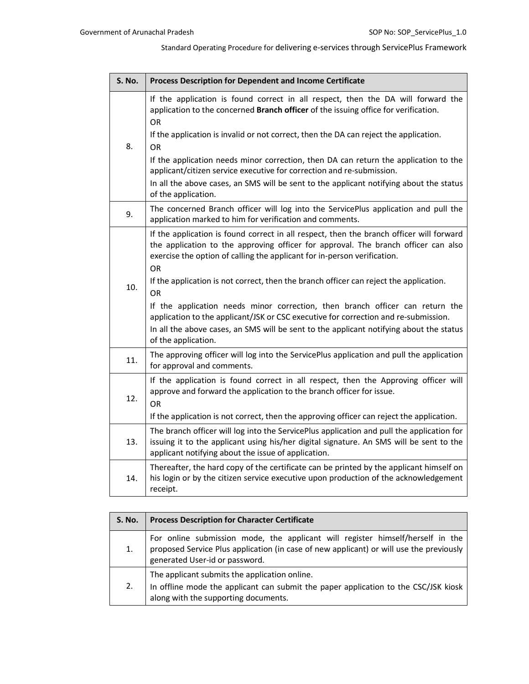| S. No. | Process Description for Dependent and Income Certificate                                                                                                                                                                                                                               |  |  |
|--------|----------------------------------------------------------------------------------------------------------------------------------------------------------------------------------------------------------------------------------------------------------------------------------------|--|--|
|        | If the application is found correct in all respect, then the DA will forward the<br>application to the concerned Branch officer of the issuing office for verification.<br>OR.                                                                                                         |  |  |
| 8.     | If the application is invalid or not correct, then the DA can reject the application.<br>OR.                                                                                                                                                                                           |  |  |
|        | If the application needs minor correction, then DA can return the application to the<br>applicant/citizen service executive for correction and re-submission.                                                                                                                          |  |  |
|        | In all the above cases, an SMS will be sent to the applicant notifying about the status<br>of the application.                                                                                                                                                                         |  |  |
| 9.     | The concerned Branch officer will log into the ServicePlus application and pull the<br>application marked to him for verification and comments.                                                                                                                                        |  |  |
|        | If the application is found correct in all respect, then the branch officer will forward<br>the application to the approving officer for approval. The branch officer can also<br>exercise the option of calling the applicant for in-person verification.<br><b>OR</b>                |  |  |
| 10.    | If the application is not correct, then the branch officer can reject the application.<br><b>OR</b>                                                                                                                                                                                    |  |  |
|        | If the application needs minor correction, then branch officer can return the<br>application to the applicant/JSK or CSC executive for correction and re-submission.<br>In all the above cases, an SMS will be sent to the applicant notifying about the status<br>of the application. |  |  |
| 11.    | The approving officer will log into the ServicePlus application and pull the application<br>for approval and comments.                                                                                                                                                                 |  |  |
| 12.    | If the application is found correct in all respect, then the Approving officer will<br>approve and forward the application to the branch officer for issue.<br>OR                                                                                                                      |  |  |
|        | If the application is not correct, then the approving officer can reject the application.                                                                                                                                                                                              |  |  |
| 13.    | The branch officer will log into the ServicePlus application and pull the application for<br>issuing it to the applicant using his/her digital signature. An SMS will be sent to the<br>applicant notifying about the issue of application.                                            |  |  |
| 14.    | Thereafter, the hard copy of the certificate can be printed by the applicant himself on<br>his login or by the citizen service executive upon production of the acknowledgement<br>receipt.                                                                                            |  |  |

| <b>S. No.</b> | <b>Process Description for Character Certificate</b>                                                                                                                                                        |  |
|---------------|-------------------------------------------------------------------------------------------------------------------------------------------------------------------------------------------------------------|--|
| 1.            | For online submission mode, the applicant will register himself/herself in the<br>proposed Service Plus application (in case of new applicant) or will use the previously<br>generated User-id or password. |  |
| 2.            | The applicant submits the application online.<br>In offline mode the applicant can submit the paper application to the CSC/JSK kiosk<br>along with the supporting documents.                                |  |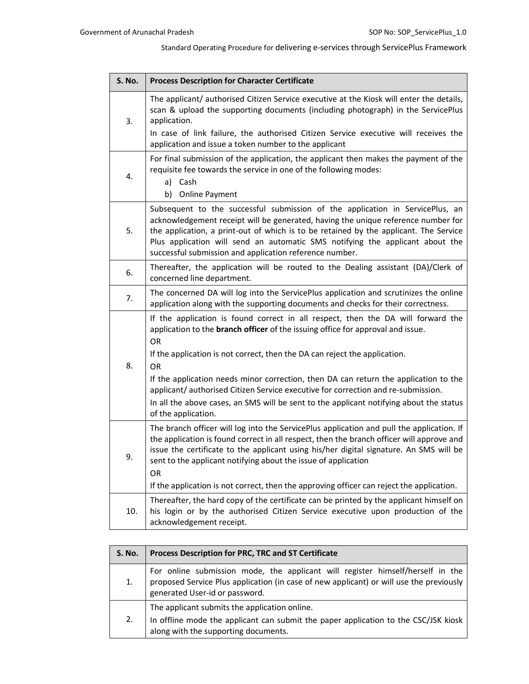| <b>Process Description for Character Certificate</b>                                                                                                                                                                                                                                                                                                                                                    |  |
|---------------------------------------------------------------------------------------------------------------------------------------------------------------------------------------------------------------------------------------------------------------------------------------------------------------------------------------------------------------------------------------------------------|--|
| The applicant/ authorised Citizen Service executive at the Kiosk will enter the details,<br>scan & upload the supporting documents (including photograph) in the ServicePlus<br>application.                                                                                                                                                                                                            |  |
| In case of link failure, the authorised Citizen Service executive will receives the<br>application and issue a token number to the applicant                                                                                                                                                                                                                                                            |  |
| For final submission of the application, the applicant then makes the payment of the<br>requisite fee towards the service in one of the following modes:<br>a) Cash<br><b>Online Payment</b><br>b)                                                                                                                                                                                                      |  |
| Subsequent to the successful submission of the application in ServicePlus, an<br>acknowledgement receipt will be generated, having the unique reference number for<br>the application, a print-out of which is to be retained by the applicant. The Service<br>Plus application will send an automatic SMS notifying the applicant about the<br>successful submission and application reference number. |  |
| Thereafter, the application will be routed to the Dealing assistant (DA)/Clerk of<br>concerned line department.                                                                                                                                                                                                                                                                                         |  |
| The concerned DA will log into the ServicePlus application and scrutinizes the online<br>application along with the supporting documents and checks for their correctness.                                                                                                                                                                                                                              |  |
| If the application is found correct in all respect, then the DA will forward the<br>application to the <b>branch officer</b> of the issuing office for approval and issue.<br>OR<br>If the application is not correct, then the DA can reject the application.                                                                                                                                          |  |
| <b>OR</b>                                                                                                                                                                                                                                                                                                                                                                                               |  |
| If the application needs minor correction, then DA can return the application to the<br>applicant/authorised Citizen Service executive for correction and re-submission.                                                                                                                                                                                                                                |  |
| In all the above cases, an SMS will be sent to the applicant notifying about the status<br>of the application.                                                                                                                                                                                                                                                                                          |  |
| The branch officer will log into the ServicePlus application and pull the application. If<br>the application is found correct in all respect, then the branch officer will approve and<br>issue the certificate to the applicant using his/her digital signature. An SMS will be<br>sent to the applicant notifying about the issue of application<br>OR.                                               |  |
| If the application is not correct, then the approving officer can reject the application.                                                                                                                                                                                                                                                                                                               |  |
| Thereafter, the hard copy of the certificate can be printed by the applicant himself on<br>his login or by the authorised Citizen Service executive upon production of the<br>acknowledgement receipt.                                                                                                                                                                                                  |  |
|                                                                                                                                                                                                                                                                                                                                                                                                         |  |

| S. No. | Process Description for PRC, TRC and ST Certificate                                                                                                                                                         |  |
|--------|-------------------------------------------------------------------------------------------------------------------------------------------------------------------------------------------------------------|--|
| 1.     | For online submission mode, the applicant will register himself/herself in the<br>proposed Service Plus application (in case of new applicant) or will use the previously<br>generated User-id or password. |  |
| 2.     | The applicant submits the application online.<br>In offline mode the applicant can submit the paper application to the CSC/JSK kiosk<br>along with the supporting documents.                                |  |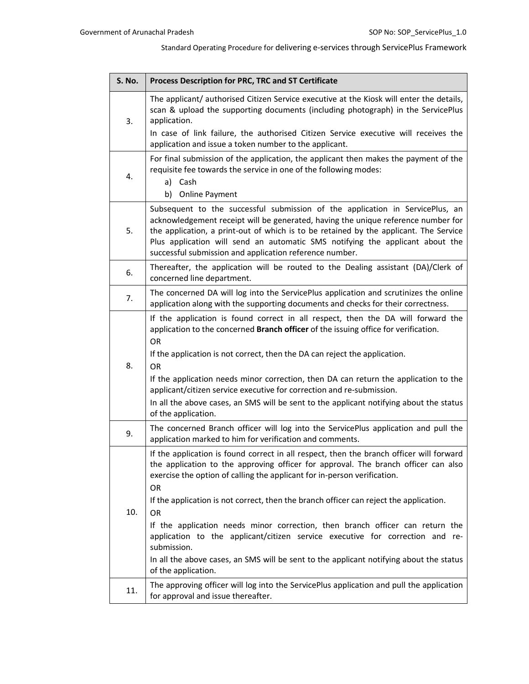| S. No. | Process Description for PRC, TRC and ST Certificate                                                                                                                                                                                                                                                                                                                                                     |
|--------|---------------------------------------------------------------------------------------------------------------------------------------------------------------------------------------------------------------------------------------------------------------------------------------------------------------------------------------------------------------------------------------------------------|
| 3.     | The applicant/ authorised Citizen Service executive at the Kiosk will enter the details,<br>scan & upload the supporting documents (including photograph) in the ServicePlus<br>application.                                                                                                                                                                                                            |
|        | In case of link failure, the authorised Citizen Service executive will receives the<br>application and issue a token number to the applicant.                                                                                                                                                                                                                                                           |
| 4.     | For final submission of the application, the applicant then makes the payment of the<br>requisite fee towards the service in one of the following modes:                                                                                                                                                                                                                                                |
|        | a) Cash<br><b>Online Payment</b><br>b)                                                                                                                                                                                                                                                                                                                                                                  |
| 5.     | Subsequent to the successful submission of the application in ServicePlus, an<br>acknowledgement receipt will be generated, having the unique reference number for<br>the application, a print-out of which is to be retained by the applicant. The Service<br>Plus application will send an automatic SMS notifying the applicant about the<br>successful submission and application reference number. |
| 6.     | Thereafter, the application will be routed to the Dealing assistant (DA)/Clerk of<br>concerned line department.                                                                                                                                                                                                                                                                                         |
| 7.     | The concerned DA will log into the ServicePlus application and scrutinizes the online<br>application along with the supporting documents and checks for their correctness.                                                                                                                                                                                                                              |
|        | If the application is found correct in all respect, then the DA will forward the<br>application to the concerned Branch officer of the issuing office for verification.<br>OR.                                                                                                                                                                                                                          |
| 8.     | If the application is not correct, then the DA can reject the application.<br><b>OR</b>                                                                                                                                                                                                                                                                                                                 |
|        | If the application needs minor correction, then DA can return the application to the<br>applicant/citizen service executive for correction and re-submission.                                                                                                                                                                                                                                           |
|        | In all the above cases, an SMS will be sent to the applicant notifying about the status<br>of the application.                                                                                                                                                                                                                                                                                          |
| 9.     | The concerned Branch officer will log into the ServicePlus application and pull the<br>application marked to him for verification and comments.                                                                                                                                                                                                                                                         |
|        | If the application is found correct in all respect, then the branch officer will forward<br>the application to the approving officer for approval. The branch officer can also<br>exercise the option of calling the applicant for in-person verification.<br>OR                                                                                                                                        |
| 10.    | If the application is not correct, then the branch officer can reject the application.<br><b>OR</b>                                                                                                                                                                                                                                                                                                     |
|        | If the application needs minor correction, then branch officer can return the<br>application to the applicant/citizen service executive for correction and re-<br>submission.                                                                                                                                                                                                                           |
|        | In all the above cases, an SMS will be sent to the applicant notifying about the status<br>of the application.                                                                                                                                                                                                                                                                                          |
| 11.    | The approving officer will log into the ServicePlus application and pull the application<br>for approval and issue thereafter.                                                                                                                                                                                                                                                                          |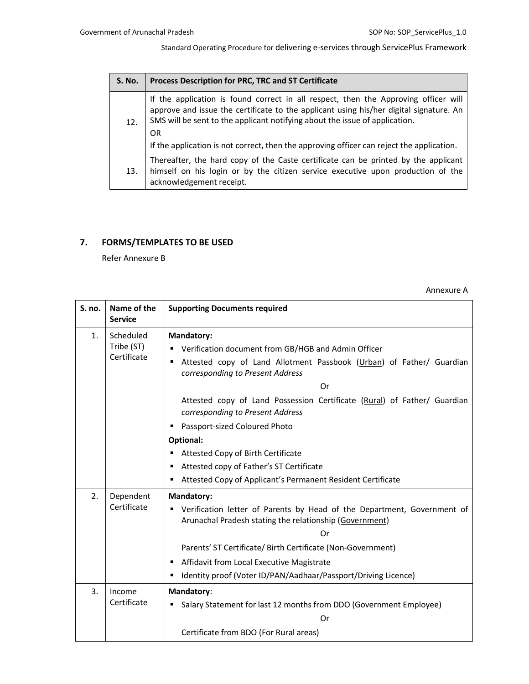| <b>S. No.</b> | Process Description for PRC, TRC and ST Certificate                                                                                                                                                                                                                                                                                                             |  |  |
|---------------|-----------------------------------------------------------------------------------------------------------------------------------------------------------------------------------------------------------------------------------------------------------------------------------------------------------------------------------------------------------------|--|--|
| 12.           | If the application is found correct in all respect, then the Approving officer will<br>approve and issue the certificate to the applicant using his/her digital signature. An<br>SMS will be sent to the applicant notifying about the issue of application.<br>OR<br>If the application is not correct, then the approving officer can reject the application. |  |  |
| 13.           | Thereafter, the hard copy of the Caste certificate can be printed by the applicant<br>himself on his login or by the citizen service executive upon production of the<br>acknowledgement receipt.                                                                                                                                                               |  |  |

## **7. FORMS/TEMPLATES TO BE USED**

Refer Annexure B

Annexure A

| S. no. | Name of the<br><b>Service</b>          | <b>Supporting Documents required</b>                                                                                                                                                                                                                                                                                                   |  |
|--------|----------------------------------------|----------------------------------------------------------------------------------------------------------------------------------------------------------------------------------------------------------------------------------------------------------------------------------------------------------------------------------------|--|
| 1.     | Scheduled<br>Tribe (ST)<br>Certificate | Mandatory:<br>Verification document from GB/HGB and Admin Officer<br>Attested copy of Land Allotment Passbook (Urban) of Father/ Guardian<br>٠<br>corresponding to Present Address<br>Or<br>Attested copy of Land Possession Certificate (Rural) of Father/ Guardian                                                                   |  |
|        |                                        | corresponding to Present Address<br>Passport-sized Coloured Photo                                                                                                                                                                                                                                                                      |  |
|        |                                        | <b>Optional:</b><br>Attested Copy of Birth Certificate<br>Attested copy of Father's ST Certificate<br>Attested Copy of Applicant's Permanent Resident Certificate<br>٠                                                                                                                                                                 |  |
| 2.     | Dependent<br>Certificate               | Mandatory:<br>" Verification letter of Parents by Head of the Department, Government of<br>Arunachal Pradesh stating the relationship (Government)<br>0r<br>Parents' ST Certificate/ Birth Certificate (Non-Government)<br>Affidavit from Local Executive Magistrate<br>Identity proof (Voter ID/PAN/Aadhaar/Passport/Driving Licence) |  |
| 3.     | Income<br>Certificate                  | Mandatory:<br>Salary Statement for last 12 months from DDO (Government Employee)<br>Or<br>Certificate from BDO (For Rural areas)                                                                                                                                                                                                       |  |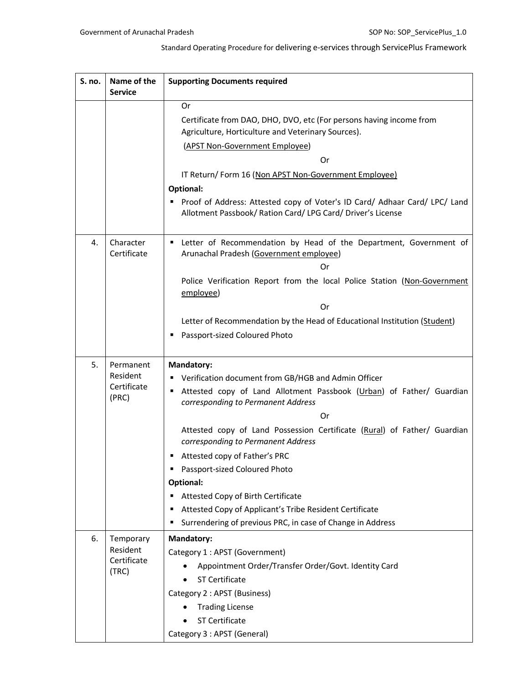| S. no. | Name of the<br><b>Service</b> | <b>Supporting Documents required</b>                                                                                                           |  |
|--------|-------------------------------|------------------------------------------------------------------------------------------------------------------------------------------------|--|
|        |                               | Or                                                                                                                                             |  |
|        |                               | Certificate from DAO, DHO, DVO, etc (For persons having income from                                                                            |  |
|        |                               | Agriculture, Horticulture and Veterinary Sources).                                                                                             |  |
|        |                               | (APST Non-Government Employee)                                                                                                                 |  |
|        |                               | Or                                                                                                                                             |  |
|        |                               | IT Return/Form 16 (Non APST Non-Government Employee)                                                                                           |  |
|        |                               | <b>Optional:</b>                                                                                                                               |  |
|        |                               | Proof of Address: Attested copy of Voter's ID Card/ Adhaar Card/ LPC/ Land<br>п<br>Allotment Passbook/ Ration Card/ LPG Card/ Driver's License |  |
| 4.     | Character<br>Certificate      | " Letter of Recommendation by Head of the Department, Government of<br>Arunachal Pradesh (Government employee)                                 |  |
|        |                               | Or                                                                                                                                             |  |
|        |                               | Police Verification Report from the local Police Station (Non-Government<br>employee)                                                          |  |
|        |                               | 0r                                                                                                                                             |  |
|        |                               | Letter of Recommendation by the Head of Educational Institution (Student)                                                                      |  |
|        |                               | Passport-sized Coloured Photo<br>п                                                                                                             |  |
| 5.     | Permanent                     | <b>Mandatory:</b>                                                                                                                              |  |
|        | Resident                      | Verification document from GB/HGB and Admin Officer<br>٠                                                                                       |  |
|        | Certificate<br>(PRC)          | Attested copy of Land Allotment Passbook (Urban) of Father/ Guardian<br>п<br>corresponding to Permanent Address                                |  |
|        |                               | Or                                                                                                                                             |  |
|        |                               | Attested copy of Land Possession Certificate (Rural) of Father/ Guardian<br>corresponding to Permanent Address                                 |  |
|        |                               | Attested copy of Father's PRC                                                                                                                  |  |
|        |                               | Passport-sized Coloured Photo<br>п                                                                                                             |  |
|        |                               | Optional:                                                                                                                                      |  |
|        |                               | Attested Copy of Birth Certificate<br>Е                                                                                                        |  |
|        |                               | Attested Copy of Applicant's Tribe Resident Certificate<br>п                                                                                   |  |
|        |                               | Surrendering of previous PRC, in case of Change in Address                                                                                     |  |
| 6.     | Temporary                     | <b>Mandatory:</b>                                                                                                                              |  |
|        | Resident<br>Certificate       | Category 1 : APST (Government)                                                                                                                 |  |
|        | (TRC)                         | Appointment Order/Transfer Order/Govt. Identity Card                                                                                           |  |
|        |                               | <b>ST Certificate</b>                                                                                                                          |  |
|        |                               | Category 2 : APST (Business)                                                                                                                   |  |
|        |                               | <b>Trading License</b>                                                                                                                         |  |
|        |                               | ST Certificate                                                                                                                                 |  |
|        |                               | Category 3 : APST (General)                                                                                                                    |  |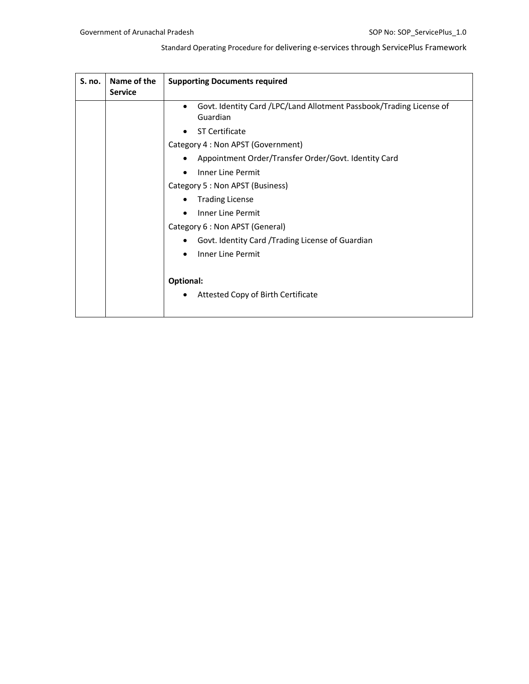| S. no. | Name of the<br><b>Service</b> | <b>Supporting Documents required</b>                                            |
|--------|-------------------------------|---------------------------------------------------------------------------------|
|        |                               | Govt. Identity Card /LPC/Land Allotment Passbook/Trading License of<br>Guardian |
|        |                               | <b>ST Certificate</b>                                                           |
|        |                               | Category 4 : Non APST (Government)                                              |
|        |                               | Appointment Order/Transfer Order/Govt. Identity Card                            |
|        |                               | Inner Line Permit                                                               |
|        |                               | Category 5 : Non APST (Business)                                                |
|        |                               | <b>Trading License</b>                                                          |
|        |                               | Inner Line Permit                                                               |
|        |                               | Category 6 : Non APST (General)                                                 |
|        |                               | Govt. Identity Card / Trading License of Guardian                               |
|        |                               | <b>Inner Line Permit</b>                                                        |
|        |                               | Optional:                                                                       |
|        |                               | Attested Copy of Birth Certificate                                              |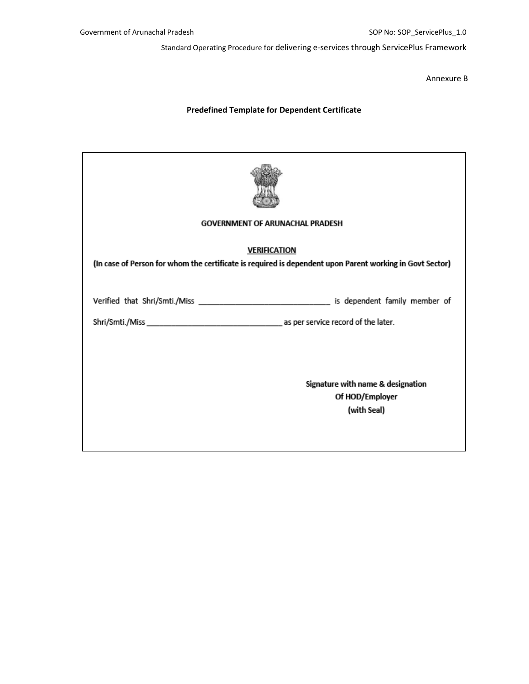Annexure B

### **Predefined Template for Dependent Certificate**

| <b>GOVERNMENT OF ARUNACHAL PRADESH</b>                                                                   |                                   |
|----------------------------------------------------------------------------------------------------------|-----------------------------------|
| <b>VERIFICATION</b>                                                                                      |                                   |
| (In case of Person for whom the certificate is required is dependent upon Parent working in Govt Sector) |                                   |
|                                                                                                          |                                   |
|                                                                                                          |                                   |
|                                                                                                          |                                   |
|                                                                                                          |                                   |
|                                                                                                          |                                   |
|                                                                                                          |                                   |
|                                                                                                          | Signature with name & designation |
|                                                                                                          | Of HOD/Employer                   |
|                                                                                                          | (with Seal)                       |
|                                                                                                          |                                   |
|                                                                                                          |                                   |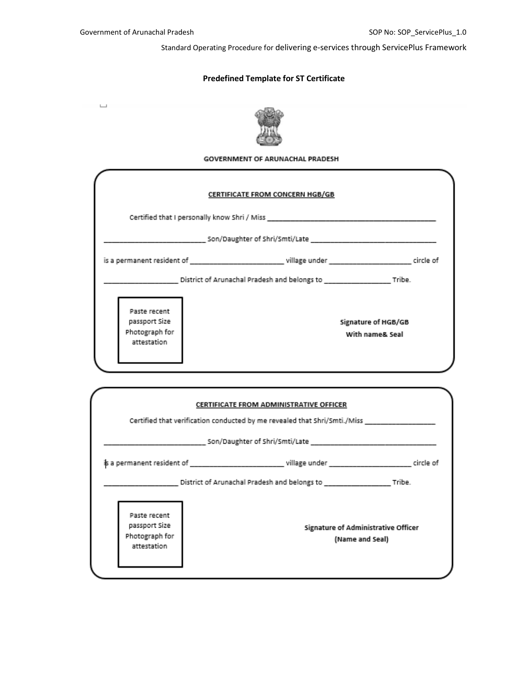## **Predefined Template for ST Certificate**

 $\Box$ 



### **GOVERNMENT OF ARUNACHAL PRADESH**

|                               | <b>CERTIFICATE FROM CONCERN HGB/GB</b>              |                     |
|-------------------------------|-----------------------------------------------------|---------------------|
|                               |                                                     |                     |
|                               | Son/Daughter of Shri/Smti/Late                      |                     |
|                               |                                                     |                     |
|                               | District of Arunachal Pradesh and belongs to Tribe. |                     |
| Paste recent                  |                                                     |                     |
| passport Size                 |                                                     | Signature of HGB/GB |
| Photograph for<br>attestation |                                                     | With name& Seal     |

|                                                                | CERTIFICATE FROM ADMINISTRATIVE OFFICER                                   |  |
|----------------------------------------------------------------|---------------------------------------------------------------------------|--|
|                                                                | Certified that verification conducted by me revealed that Shri/Smti./Miss |  |
|                                                                |                                                                           |  |
|                                                                |                                                                           |  |
|                                                                |                                                                           |  |
| Paste recent<br>passport Size<br>Photograph for<br>attestation | Signature of Administrative Officer<br>(Name and Seal)                    |  |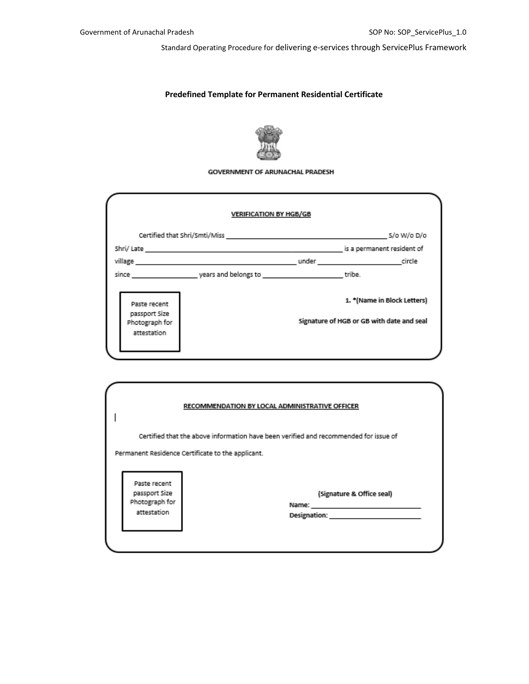### **Predefined Template for Permanent Residential Certificate**



#### **GOVERNMENT OF ARUNACHAL PRADESH**

| Certified that Shri/Smti/Miss and the control of the control of the S/o W/o D/o                                                                                                                                                |
|--------------------------------------------------------------------------------------------------------------------------------------------------------------------------------------------------------------------------------|
|                                                                                                                                                                                                                                |
| is a permanent resident of                                                                                                                                                                                                     |
| village circle and circle and contact the control of the control of the control of the circle of the control of the control of the control of the control of the control of the control of the control of the control of the c |
|                                                                                                                                                                                                                                |
| 1. *(Name in Block Letters)                                                                                                                                                                                                    |
| Signature of HGB or GB with date and seal                                                                                                                                                                                      |
|                                                                                                                                                                                                                                |

|                                                   | RECOMMENDATION BY LOCAL ADMINISTRATIVE OFFICER                                       |
|---------------------------------------------------|--------------------------------------------------------------------------------------|
|                                                   | Certified that the above information have been verified and recommended for issue of |
| Permanent Residence Certificate to the applicant. |                                                                                      |
|                                                   |                                                                                      |
|                                                   |                                                                                      |
| Paste recent                                      |                                                                                      |
| passport Size                                     | (Signature & Office seal)                                                            |
| Photograph for                                    | Name:                                                                                |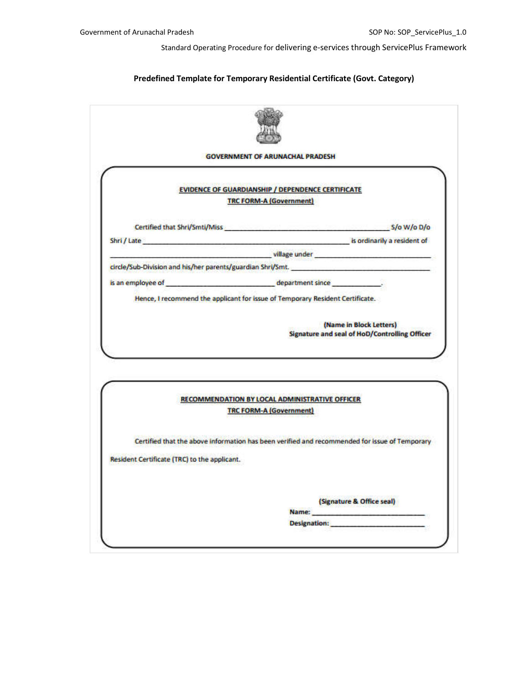### **Predefined Template for Temporary Residential Certificate (Govt. Category)**

|                                              | <b>EVIDENCE OF GUARDIANSHIP / DEPENDENCE CERTIFICATE</b>                                                                                                         |
|----------------------------------------------|------------------------------------------------------------------------------------------------------------------------------------------------------------------|
|                                              | <b>TRC FORM-A (Government)</b>                                                                                                                                   |
|                                              |                                                                                                                                                                  |
|                                              | Certified that Shri/Smti/Miss Samuel Certified that Shri/Smti/Miss                                                                                               |
|                                              | Shri / Late is ordinarily a resident of                                                                                                                          |
|                                              | village under will also and all the contract of the contract of the contract of the contract of the contract of                                                  |
|                                              | circle/Sub-Division and his/her parents/guardian Shri/Smt.                                                                                                       |
|                                              |                                                                                                                                                                  |
|                                              | Hence, I recommend the applicant for issue of Temporary Resident Certificate.<br>(Name in Block Letters)<br><b>Signature and seal of HoD/Controlling Officer</b> |
|                                              |                                                                                                                                                                  |
|                                              | RECOMMENDATION BY LOCAL ADMINISTRATIVE OFFICER                                                                                                                   |
|                                              | <b>TRC FORM-A (Government)</b>                                                                                                                                   |
|                                              | Certified that the above information has been verified and recommended for issue of Temporary                                                                    |
|                                              |                                                                                                                                                                  |
|                                              |                                                                                                                                                                  |
| Resident Certificate (TRC) to the applicant. | (Signature & Office seal)                                                                                                                                        |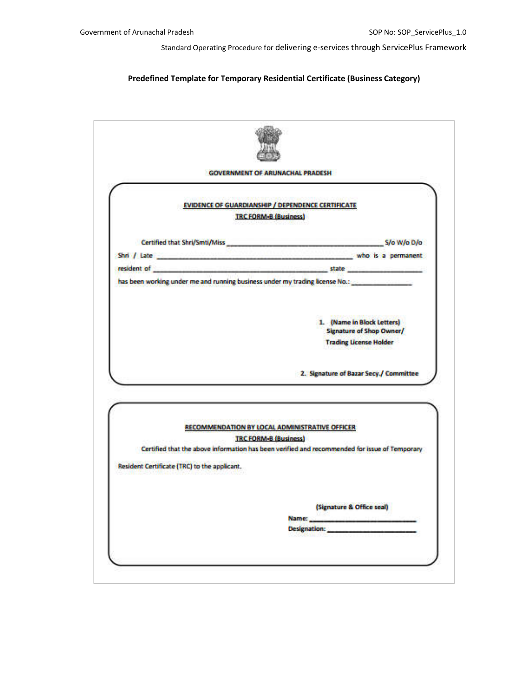### **Predefined Template for Temporary Residential Certificate (Business Category)**

|                                              | <b>EVIDENCE OF GUARDIANSHIP / DEPENDENCE CERTIFICATE</b><br><b>TRC FORM-B (Business)</b>              |
|----------------------------------------------|-------------------------------------------------------------------------------------------------------|
|                                              |                                                                                                       |
|                                              | Certified that Shri/Smti/Miss S/o W/o D/o                                                             |
|                                              |                                                                                                       |
|                                              | resident of the communities and continued and continued and continued and continued and continued and |
|                                              | has been working under me and running business under my trading license No.:                          |
|                                              |                                                                                                       |
|                                              | 1. (Name in Block Letters)                                                                            |
|                                              | <b>Signature of Shop Owner/</b>                                                                       |
|                                              |                                                                                                       |
|                                              | <b>Trading License Holder</b>                                                                         |
|                                              |                                                                                                       |
|                                              | 2. Signature of Bazar Secy./ Committee                                                                |
|                                              |                                                                                                       |
|                                              |                                                                                                       |
|                                              | RECOMMENDATION BY LOCAL ADMINISTRATIVE OFFICER                                                        |
|                                              | <b>TRC FORM-B (Business)</b>                                                                          |
| Resident Certificate (TRC) to the applicant. | Certified that the above information has been verified and recommended for issue of Temporary         |
|                                              |                                                                                                       |
|                                              |                                                                                                       |
|                                              | (Signature & Office seal)<br>Name:                                                                    |